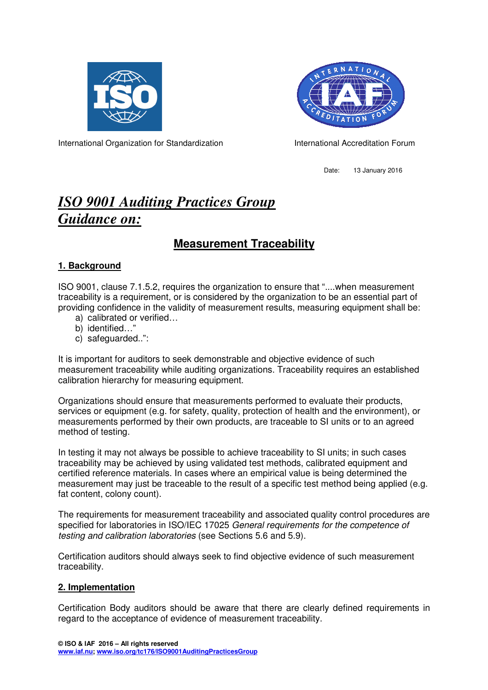



International Organization for Standardization **International Accreditation Forum** 

Date: 13 January 2016

# *ISO 9001 Auditing Practices Group Guidance on:*

## **Measurement Traceability**

### **1. Background**

ISO 9001, clause 7.1.5.2, requires the organization to ensure that "....when measurement traceability is a requirement, or is considered by the organization to be an essential part of providing confidence in the validity of measurement results, measuring equipment shall be:

- a) calibrated or verified…
- b) identified…"
- c) safeguarded..":

It is important for auditors to seek demonstrable and objective evidence of such measurement traceability while auditing organizations. Traceability requires an established calibration hierarchy for measuring equipment.

Organizations should ensure that measurements performed to evaluate their products, services or equipment (e.g. for safety, quality, protection of health and the environment), or measurements performed by their own products, are traceable to SI units or to an agreed method of testing.

In testing it may not always be possible to achieve traceability to SI units; in such cases traceability may be achieved by using validated test methods, calibrated equipment and certified reference materials. In cases where an empirical value is being determined the measurement may just be traceable to the result of a specific test method being applied (e.g. fat content, colony count).

The requirements for measurement traceability and associated quality control procedures are specified for laboratories in ISO/IEC 17025 General requirements for the competence of testing and calibration laboratories (see Sections 5.6 and 5.9).

Certification auditors should always seek to find objective evidence of such measurement traceability.

#### **2. Implementation**

Certification Body auditors should be aware that there are clearly defined requirements in regard to the acceptance of evidence of measurement traceability.